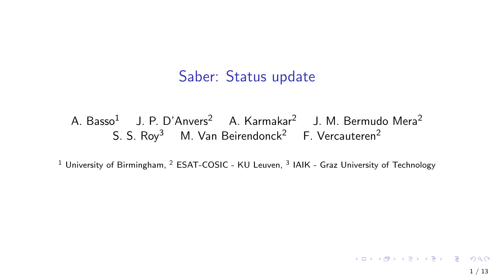#### Saber: Status update

#### A. Basso<sup>1</sup> J. P. D'Anvers<sup>2</sup> A. Karmakar<sup>2</sup> J. M. Bermudo Mera<sup>2</sup> S. S. Rov<sup>3</sup> M. Van Beirendonck<sup>2</sup> F. Vercauteren<sup>2</sup>

<sup>1</sup> University of Birmingham, <sup>2</sup> ESAT-COSIC - KU Leuven, <sup>3</sup> IAIK - Graz University of Technology

K □ K K @ K K B K X B K G W K K K K K K K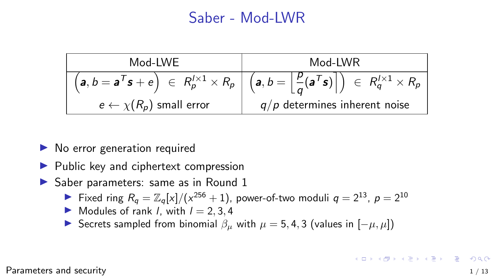#### Saber - Mod-LWR

<span id="page-1-0"></span>

| Mod-LWE                              | Mod-LWR                                                                                                                                                  |  |  |
|--------------------------------------|----------------------------------------------------------------------------------------------------------------------------------------------------------|--|--|
|                                      | $\left(a, b = a^T s + e\right) \in R_p^{1 \times 1} \times R_p \mid \left(a, b = \left \frac{p}{q}(a^T s)\right \right) \in R_q^{1 \times 1} \times R_p$ |  |  |
| $e \leftarrow \chi(R_p)$ small error | $q/p$ determines inherent noise                                                                                                                          |  |  |

- $\blacktriangleright$  No error generation required
- $\blacktriangleright$  Public key and ciphertext compression
- $\triangleright$  Saber parameters: same as in Round 1
	- Fixed ring  $R_q = \mathbb{Z}_q[x]/(x^{256} + 1)$ , power-of-two moduli  $q = 2^{13}$ ,  $p = 2^{10}$
	- $\blacktriangleright$  Modules of rank *l*, with  $l = 2, 3, 4$
	- **IF** Secrets sampled from binomial  $\beta_{\mu}$  with  $\mu = 5, 4, 3$  (values in  $[-\mu, \mu]$ )

[Parameters](#page-1-0) and security  $1/13$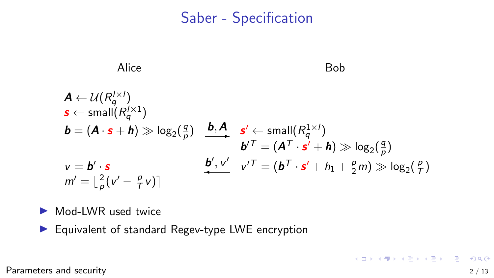#### Saber - Specification



Mod-LWR used twice

 $\blacktriangleright$  Equivalent of standard Regev-type LWE encryption

[Parameters](#page-1-0) and security 2 / 13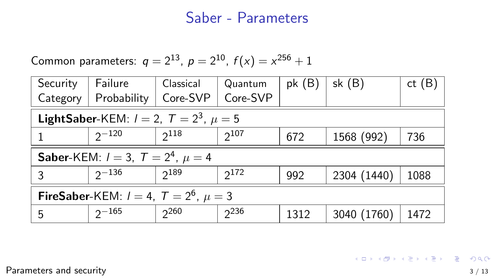#### Saber - Parameters

Common parameters:  $q = 2^{13}$ ,  $p = 2^{10}$ ,  $f(x) = x^{256} + 1$ 

| Security                                                | Failure     | Classical | Quantum   | pk(B) | sk $(B)$    | ct(B) |
|---------------------------------------------------------|-------------|-----------|-----------|-------|-------------|-------|
| Category                                                | Probability | Core-SVP  | Core-SVP  |       |             |       |
| <b>LightSaber-KEM</b> : $l = 2$ , $T = 2^3$ , $\mu = 5$ |             |           |           |       |             |       |
|                                                         | $2^{-120}$  | $2^{118}$ | $2^{107}$ | 672   | 1568 (992)  | 736   |
| <b>Saber-KEM:</b> $l = 3$ , $T = 24$ , $\mu = 4$        |             |           |           |       |             |       |
| 3                                                       | $2^{-136}$  | $2^{189}$ | $2^{172}$ | 992   | 2304 (1440) | 1088  |
| <b>FireSaber-KEM:</b> $l = 4$ , $T = 2^6$ , $\mu = 3$   |             |           |           |       |             |       |
| 5                                                       | $2^{-165}$  | $2^{260}$ | $2^{236}$ | 1312  | 3040 (1760) | 1472  |

[Parameters](#page-1-0) and security 3 / 13

K ロ ▶ K 個 ▶ K 할 ▶ K 할 ▶ 이 할 → 9 Q Q →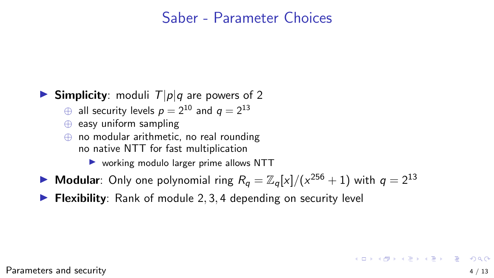#### Saber - Parameter Choices

#### **Simplicity**: moduli  $T|p|q$  are powers of 2

- $\oplus$  all security levels  $p = 2^{10}$  and  $q = 2^{13}$
- ⊕ easy uniform sampling
- ⊕ no modular arithmetic, no real rounding no native NTT for fast multiplication

 $\triangleright$  working modulo larger prime allows NTT

- Modular: Only one polynomial ring  $R_q = \mathbb{Z}_q[x]/(x^{256} + 1)$  with  $q = 2^{13}$
- $\triangleright$  Flexibility: Rank of module 2, 3, 4 depending on security level

[Parameters](#page-1-0) and security  $4 / 13$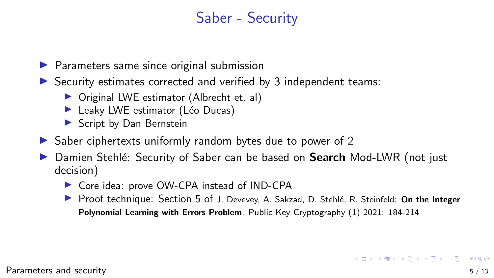# Saber - Security

- $\blacktriangleright$  Parameters same since original submission
- $\triangleright$  Security estimates corrected and verified by 3 independent teams:
	- $\triangleright$  Original LWE estimator (Albrecht et. al)
	- $\blacktriangleright$  Leaky LWE estimator (Léo Ducas)
	- **In Script by Dan Bernstein**
- $\triangleright$  Saber ciphertexts uniformly random bytes due to power of 2
- Damien Stehlé: Security of Saber can be based on **Search** Mod-LWR (not just decision)
	- ▶ Core idea: prove OW-CPA instead of IND-CPA
	- ▶ Proof technique: Section 5 of J. Devevey, A. Sakzad, D. Stehlé, R. Steinfeld: On the Integer Polynomial Learning with Errors Problem. Public Key Cryptography (1) 2021: 184-214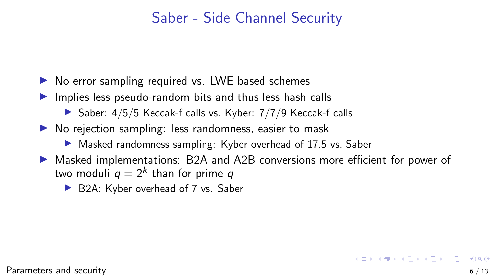### Saber - Side Channel Security

- $\triangleright$  No error sampling required vs. LWE based schemes
- $\blacktriangleright$  Implies less pseudo-random bits and thus less hash calls
	- $\triangleright$  Saber: 4/5/5 Keccak-f calls vs. Kyber: 7/7/9 Keccak-f calls
- $\triangleright$  No rejection sampling: less randomness, easier to mask
	- ▶ Masked randomness sampling: Kyber overhead of 17.5 vs. Saber
- ▶ Masked implementations: B2A and A2B conversions more efficient for power of two moduli  $q = 2<sup>k</sup>$  than for prime q
	- ▶ B2A: Kyber overhead of 7 vs. Saber

 $\qquad \qquad \exists \quad \mathbf{1} \in \mathbb{R} \rightarrow \mathbf{1} \in \mathbb{R} \rightarrow \mathbf{1} \oplus \mathbf{1} \rightarrow \mathbf{1} \oplus \mathbf{1} \rightarrow \mathbf{1} \oplus \mathbf{1} \rightarrow \mathbf{1} \oplus \mathbf{1} \rightarrow \mathbf{1} \oplus \mathbf{1} \oplus \mathbf{1} \oplus \mathbf{1} \oplus \mathbf{1} \oplus \mathbf{1} \oplus \mathbf{1} \oplus \mathbf{1} \oplus \mathbf{1} \oplus \mathbf{1} \oplus \mathbf{1} \oplus \mathbf{1} \oplus \math$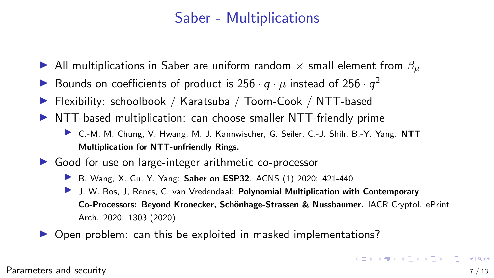## Saber - Multiplications

- In All multiplications in Saber are uniform random  $\times$  small element from  $\beta_{\mu}$
- Bounds on coefficients of product is  $256 \cdot q \cdot \mu$  instead of  $256 \cdot q^2$
- ▶ Flexibility: schoolbook / Karatsuba / Toom-Cook / NTT-based
- $\triangleright$  NTT-based multiplication: can choose smaller NTT-friendly prime
	- ▶ C.-M. M. Chung, V. Hwang, M. J. Kannwischer, G. Seiler, C.-J. Shih, B.-Y. Yang. NTT Multiplication for NTT-unfriendly Rings.
- $\triangleright$  Good for use on large-integer arithmetic co-processor
	- ▶ B. Wang, X. Gu, Y. Yang: Saber on ESP32. ACNS (1) 2020: 421-440
	- I J. W. Bos, J. Renes, C. van Vredendaal: Polynomial Multiplication with Contemporary Co-Processors: Beyond Kronecker, Schönhage-Strassen & Nussbaumer. IACR Cryptol. ePrint Arch. 2020: 1303 (2020)
- $\triangleright$  Open problem: can this be exploited in masked implementations?

[Parameters](#page-1-0) and security  $7/13$ 

**KORKA SERKER YOUR**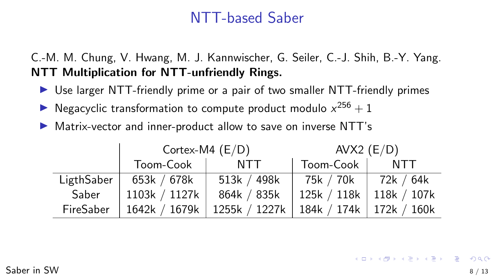### NTT-based Saber

<span id="page-8-0"></span>C.-M. M. Chung, V. Hwang, M. J. Kannwischer, G. Seiler, C.-J. Shih, B.-Y. Yang. NTT Multiplication for NTT-unfriendly Rings.

- ▶ Use larger NTT-friendly prime or a pair of two smaller NTT-friendly primes
- **IDED** Negacyclic transformation to compute product modulo  $x^{256} + 1$
- ▶ Matrix-vector and inner-product allow to save on inverse NTT's

|            | Cortex-M4 $(E/D)$ |                                                           | AVX2 $(E/D)$              |     |  |
|------------|-------------------|-----------------------------------------------------------|---------------------------|-----|--|
|            | Toom-Cook         | NTT                                                       | Toom-Cook                 | NTT |  |
| Lightsaber | 653k / 678k       | 513 $k / 498k$                                            | 75k / 70k   72k / 64k     |     |  |
| Saber      | 1103k / 1127k     | 864k / 835k                                               | 125k / 118k   118k / 107k |     |  |
| FireSaber  |                   | 1642k / 1679k   1255k / 1227k   184k / 174k   172k / 160k |                           |     |  |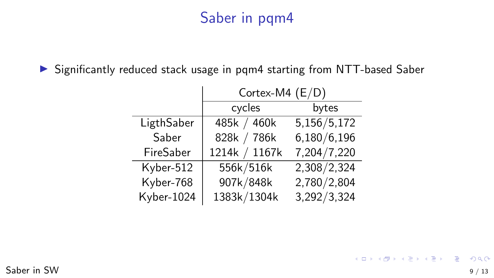# Saber in pqm4

▶ Significantly reduced stack usage in pqm4 starting from NTT-based Saber

|            | Cortex-M4 $(E/D)$ |             |  |  |
|------------|-------------------|-------------|--|--|
|            | cycles            | bytes       |  |  |
| LigthSaber | 485k / 460k       | 5,156/5,172 |  |  |
| Saber      | 828k / 786k       | 6,180/6,196 |  |  |
| FireSaber  | 1214k / 1167k     | 7,204/7,220 |  |  |
| Kyber-512  | 556k/516k         | 2,308/2,324 |  |  |
| Kyber-768  | 907k/848k         | 2,780/2,804 |  |  |
| Kyber-1024 | 1383k/1304k       | 3,292/3,324 |  |  |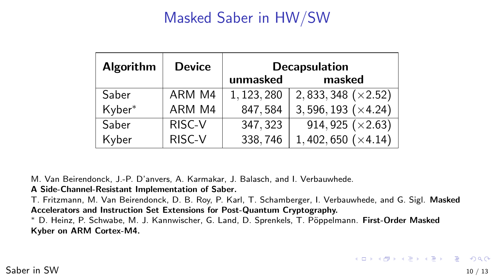# Masked Saber in HW/SW

<span id="page-10-0"></span>

| <b>Algorithm</b> | <b>Device</b> | <b>Decapsulation</b><br>masked<br>unmasked |                             |  |  |
|------------------|---------------|--------------------------------------------|-----------------------------|--|--|
| Saber            | ARM M4        | 1, 123, 280                                | 2, 833, 348 $(\times 2.52)$ |  |  |
| Kyber*           | ARM M4        | 847,584                                    | $3,596,193 \; (×4.24)$      |  |  |
| Saber            | RISC-V        | 347, 323                                   | 914, 925 $(x2.63)$          |  |  |
| Kyber            | RISC-V        | 338,746                                    | 1,402,650 $(\times 4.14)$   |  |  |

M. Van Beirendonck, J.-P. D'anvers, A. Karmakar, J. Balasch, and I. Verbauwhede.

#### A Side-Channel-Resistant Implementation of Saber.

T. Fritzmann, M. Van Beirendonck, D. B. Roy, P. Karl, T. Schamberger, I. Verbauwhede, and G. Sigl. Masked Accelerators and Instruction Set Extensions for Post-Quantum Cryptography.

<sup>∗</sup> D. Heinz, P. Schwabe, M. J. Kannwischer, G. Land, D. Sprenkels, T. P¨oppelmann. First-Order Masked Kyber on ARM Cortex-M4.

K ロ ▶ K @ ▶ K 할 ▶ K 할 ▶ 이 할 → 9 Q @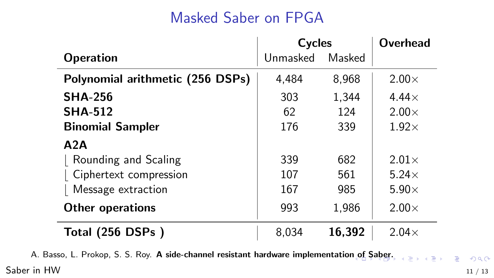# Masked Saber on FPGA

<span id="page-11-0"></span>

|                                  | Cycles   | <b>Overhead</b> |               |
|----------------------------------|----------|-----------------|---------------|
| <b>Operation</b>                 | Unmasked | Masked          |               |
| Polynomial arithmetic (256 DSPs) | 4.484    | 8,968           | $2.00\times$  |
| <b>SHA-256</b>                   | 303      | 1,344           | 4.44 $\times$ |
| <b>SHA-512</b>                   | 62       | 124             | $2.00\times$  |
| <b>Binomial Sampler</b>          | 176      | 339             | $1.92\times$  |
| A2A                              |          |                 |               |
| Rounding and Scaling             | 339      | 682             | $2.01\times$  |
| Ciphertext compression           | 107      | 561             | $5.24\times$  |
| Message extraction               | 167      | 985             | $5.90\times$  |
| <b>Other operations</b>          | 993      | 1,986           | $2.00\times$  |
| Total (256 DSPs)                 | 8.034    | 16,392          | $2.04\times$  |

A. Bass[o](#page-10-0), L. Prokop, [S](#page-12-0). S. Roy. A side-channel resistant hardware implementation of S[ab](#page-10-0)[er](#page-11-0)[.](#page-12-0)

[Saber](#page-11-0) in HW  $11/13$ 

高山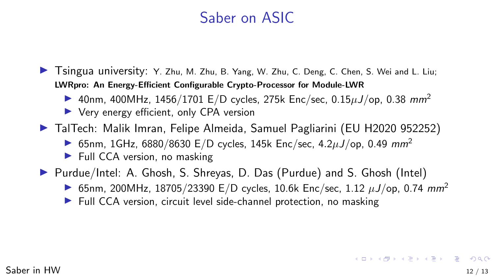### Saber on ASIC

<span id="page-12-0"></span>In Tsingua university: Y. Zhu, M. Zhu, B. Yang, W. Zhu, C. Deng, C. Chen, S. Wei and L. Liu; LWRpro: An Energy-Efficient Configurable Crypto-Processor for Module-LWR

- ▶ 40nm, 400MHz, 1456/1701 E/D cycles, 275k Enc/sec, 0.15 $\mu$ J/op, 0.38 mm<sup>2</sup>
- $\triangleright$  Very energy efficient, only CPA version
- TalTech: Malik Imran, Felipe Almeida, Samuel Pagliarini (EU H2020 952252)
	- ▶ 65nm, 1GHz, 6880/8630 E/D cycles, 145k Enc/sec, 4.2 $\mu$ J/op, 0.49 mm<sup>2</sup>
	- $\blacktriangleright$  Full CCA version, no masking
- ▶ Purdue/Intel: A. Ghosh, S. Shreyas, D. Das (Purdue) and S. Ghosh (Intel)
	- ▶ 65nm, 200MHz, 18705/23390 E/D cycles, 10.6k Enc/sec, 1.12  $\mu$ J/op, 0.74 mm<sup>2</sup>
	- $\blacktriangleright$  Full CCA version, circuit level side-channel protection, no masking

**KORKARA REPASA DA VOCA**